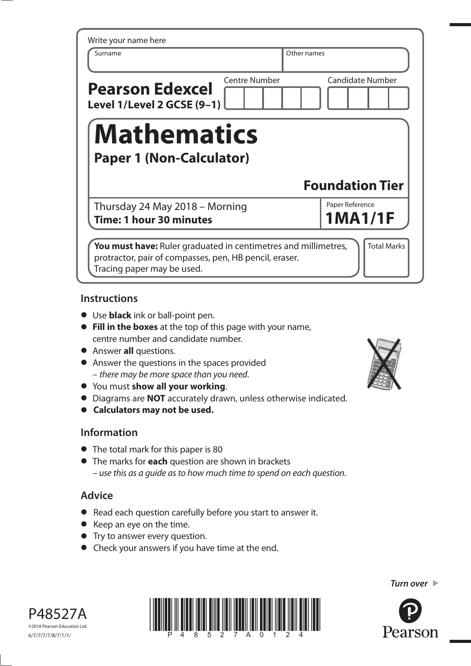| Write your name here                                  |                      |             |                         |
|-------------------------------------------------------|----------------------|-------------|-------------------------|
| Surname                                               |                      | Other names |                         |
| <b>Pearson Edexcel</b><br>Level 1/Level 2 GCSE (9-1)  | <b>Centre Number</b> |             | <b>Candidate Number</b> |
|                                                       |                      |             |                         |
| <b>Mathematics</b><br><b>Paper 1 (Non-Calculator)</b> |                      |             |                         |
|                                                       |                      |             | <b>Foundation Tier</b>  |

## **Instructions**

- **•** Use **black** ink or ball-point pen.
- **• Fill in the boxes** at the top of this page with your name, centre number and candidate number.
- **•** Answer **all** questions.
- **•** Answer the questions in the spaces provided – there may be more space than you need.
- **•** You must **show all your working**.
- **•** Diagrams are **NOT** accurately drawn, unless otherwise indicated.
- **• Calculators may not be used.**

## **Information**

- **•** The total mark for this paper is 80
- **•** The marks for **each** question are shown in brackets – use this as a guide as to how much time to spend on each question.

# **Advice**

- **•** Read each question carefully before you start to answer it.
- **•** Keep an eye on the time.
- **•** Try to answer every question.
- **•** Check your answers if you have time at the end.









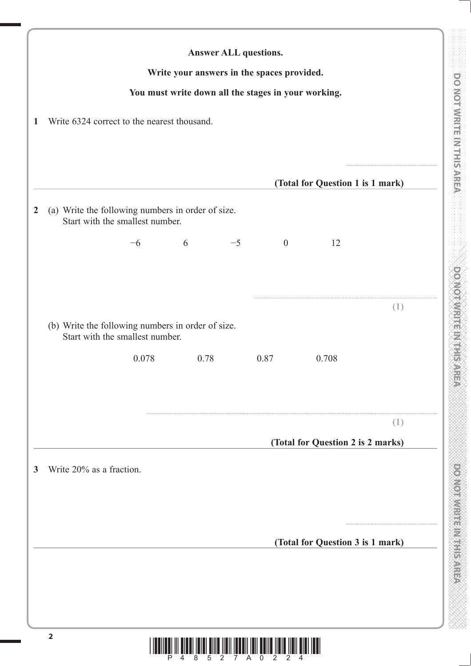|                                                     | <b>Answer ALL questions.</b>                                                         |  |  |  |  |  |  |  |
|-----------------------------------------------------|--------------------------------------------------------------------------------------|--|--|--|--|--|--|--|
|                                                     | Write your answers in the spaces provided.                                           |  |  |  |  |  |  |  |
| You must write down all the stages in your working. |                                                                                      |  |  |  |  |  |  |  |
|                                                     | Write 6324 correct to the nearest thousand.                                          |  |  |  |  |  |  |  |
| 1                                                   |                                                                                      |  |  |  |  |  |  |  |
|                                                     |                                                                                      |  |  |  |  |  |  |  |
|                                                     | (Total for Question 1 is 1 mark)                                                     |  |  |  |  |  |  |  |
| $\overline{2}$                                      | (a) Write the following numbers in order of size.<br>Start with the smallest number. |  |  |  |  |  |  |  |
|                                                     | 12<br>$-6$<br>6<br>$\boldsymbol{0}$<br>$-5$                                          |  |  |  |  |  |  |  |
|                                                     |                                                                                      |  |  |  |  |  |  |  |
|                                                     |                                                                                      |  |  |  |  |  |  |  |
|                                                     | (1)<br>(b) Write the following numbers in order of size.                             |  |  |  |  |  |  |  |
|                                                     | Start with the smallest number.<br>0.78<br>0.078<br>0.87<br>0.708                    |  |  |  |  |  |  |  |
|                                                     |                                                                                      |  |  |  |  |  |  |  |
|                                                     |                                                                                      |  |  |  |  |  |  |  |
|                                                     | (1)                                                                                  |  |  |  |  |  |  |  |
|                                                     | (Total for Question 2 is 2 marks)                                                    |  |  |  |  |  |  |  |
| 3                                                   | Write 20% as a fraction.                                                             |  |  |  |  |  |  |  |
|                                                     |                                                                                      |  |  |  |  |  |  |  |
|                                                     |                                                                                      |  |  |  |  |  |  |  |
|                                                     | (Total for Question 3 is 1 mark)                                                     |  |  |  |  |  |  |  |
|                                                     |                                                                                      |  |  |  |  |  |  |  |
|                                                     |                                                                                      |  |  |  |  |  |  |  |
|                                                     |                                                                                      |  |  |  |  |  |  |  |
|                                                     |                                                                                      |  |  |  |  |  |  |  |

 $\begin{array}{c} \hbox{~~\bf 2.22cm}\\ \hline \end{array} \begin{array}{c} \hbox{~~\bf 3.11cm}\\ \hline \end{array} \begin{array}{c} \hbox{~~\bf 4.11cm}\\ \hline \end{array} \begin{array}{c} \hbox{~~\bf 5.11cm}\\ \hline \end{array} \begin{array}{c} \hbox{~~\bf 2.11cm}\\ \hline \end{array} \begin{array}{c} \hbox{~~\bf 1.11cm}\\ \hline \end{array} \begin{array}{c} \hbox{~~\bf 1.11cm}\\ \hline \end{array} \begin{array}{c} \hbox{~~\bf 1.$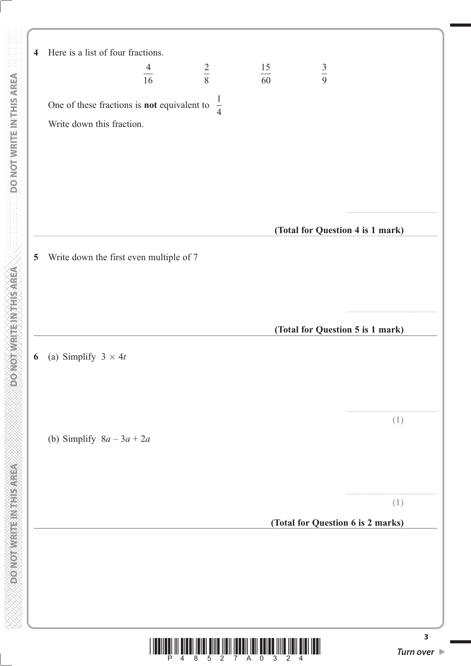| $\overline{\mathbf{4}}$            | Here is a list of four fractions.<br>$\frac{15}{60}$<br>$rac{3}{9}$<br>$\frac{2}{8}$<br>$\frac{4}{16}$                                                                                  |
|------------------------------------|-----------------------------------------------------------------------------------------------------------------------------------------------------------------------------------------|
|                                    | One of these fractions is <b>not</b> equivalent to $\frac{1}{4}$<br>Write down this fraction.                                                                                           |
| 5                                  | (Total for Question 4 is 1 mark)<br>Write down the first even multiple of 7                                                                                                             |
| <b>PONOTWRITEIN</b> THIS AREA<br>6 | (Total for Question 5 is 1 mark)<br>(a) Simplify $3 \times 4t$                                                                                                                          |
|                                    | $(\perp)$<br>(b) Simplify $8a - 3a + 2a$                                                                                                                                                |
|                                    | (1)<br>(Total for Question 6 is 2 marks)                                                                                                                                                |
|                                    | 3<br><u>I III CILETTIIN OILEI IOILLE OILE IIOILLE LEON IOILLE OILE IIIOILLE OILE OILLE OILLE </u><br>Turn over $\blacktriangleright$<br>8<br>5.<br>A<br>$\mathbf{0}$<br>2<br>$\sqrt{2}$ |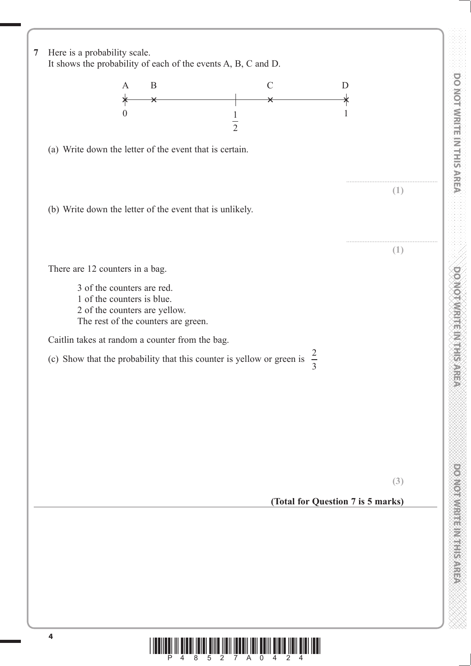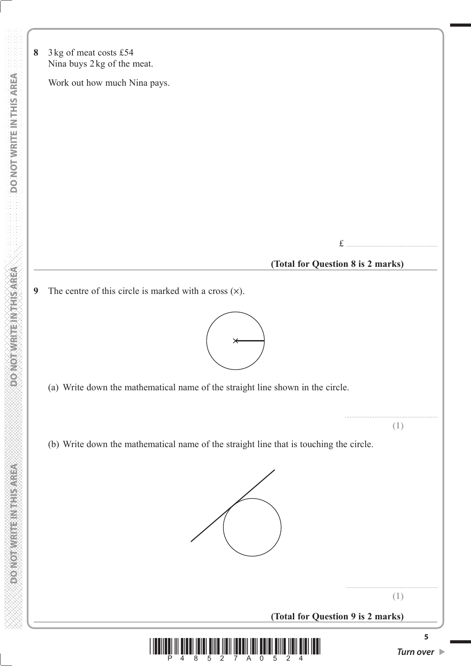

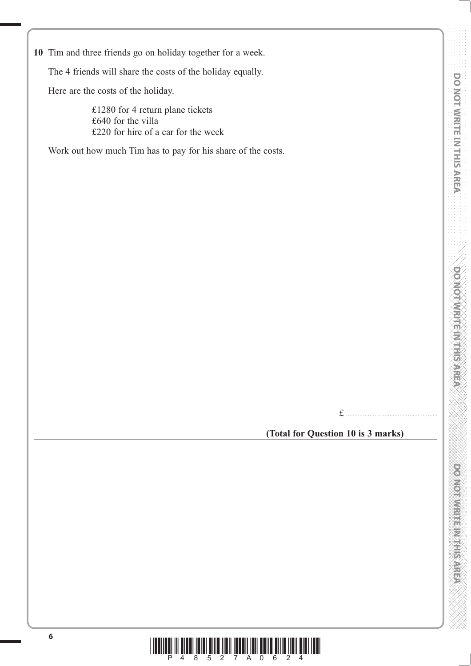**10** Tim and three friends go on holiday together for a week.

The 4 friends will share the costs of the holiday equally.

Here are the costs of the holiday.

£1280 for 4 return plane tickets  $£640$  for the villa £220 for hire of a car for the week

Work out how much Tim has to pay for his share of the costs.

£ .......................................................

## **(Total for Question 10 is 3 marks)**

**DOMOTIVIRITE IN THE SARER** 

DO NOT WRITE IN THIS AREA

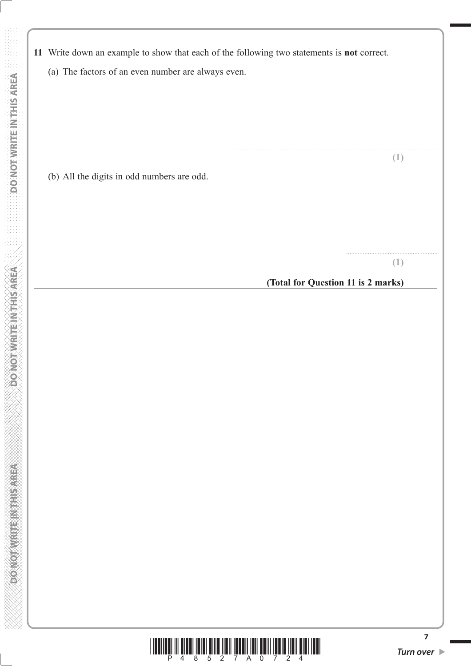- **11** Write down an example to show that each of the following two statements is **not** correct.
	- (a) The factors of an even number are always even.

(b) All the digits in odd numbers are odd.

**(1)**

.......................................................

**(1)**

**(Total for Question 11 is 2 marks)**

..........................................................................................................................



**7**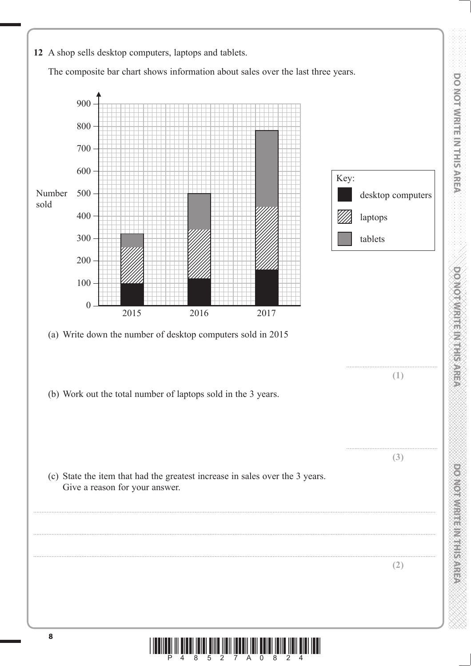**DO NOT WRITE IN THIS AREA DO NOT WRITE IN THIS AREA DO NOT WRITE IN THIS AREA DO NOT WRITE IN THIS AREA DO NOT WRITE IN THIS AREA DO NOT WRITE IN THIS AREA DO NOT WRITE IN THIS AREA DO NOT WRITE IN THIS AREA DO NOT WRITE 12** A shop sells desktop computers, laptops and tablets. The composite bar chart shows information about sales over the last three years. DO NOT WRITE IN THIS AREA 900 800 700  $600 -$ Key: Number  $500$  desktop computers sold 400 laptops 300 tablets  $200 -$ **DOMOTAMENT HISTORIES** 100  $\overline{0}$ 2015 2016 2017 (a) Write down the number of desktop computers sold in  $2015$ ....................................................... **(1)** (b) Work out the total number of laptops sold in the 3 years. ....................................................... **(3) DOMOROVER IN THE NEWSPAPER**  (c) State the item that had the greatest increase in sales over the 3 years. Give a reason for your answer. .................................................................................................................................................................................................................................................. .................................................................................................................................................................................................................................................. .................................................................................................................................................................................................................................................. **(2)**

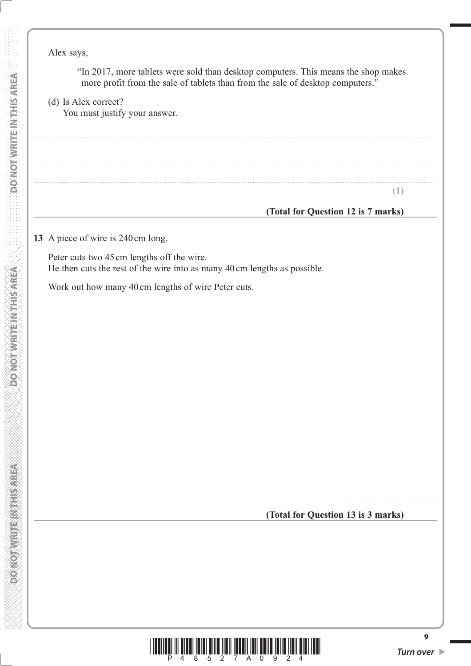Alex says,

"In 2017, more tablets were sold than desktop computers. This means the shop makes more profit from the sale of tablets than from the sale of desktop computers."

..................................................................................................................................................................................................................................................

..................................................................................................................................................................................................................................................

..................................................................................................................................................................................................................................................

 (d) Is Alex correct? You must justify your answer.

#### **(1)**

#### **(Total for Question 12 is 7 marks)**

13 A piece of wire is 240 cm long.

Peter cuts two 45 cm lengths off the wire. He then cuts the rest of the wire into as many  $40 \text{ cm}$  lengths as possible.

Work out how many 40 cm lengths of wire Peter cuts.

**(Total for Question 13 is 3 marks)**



.......................................................

**9**

**MORTHLIGHT IN THE REAL PROPERTY** 

**DO NOT WRITE IN THIS AREA**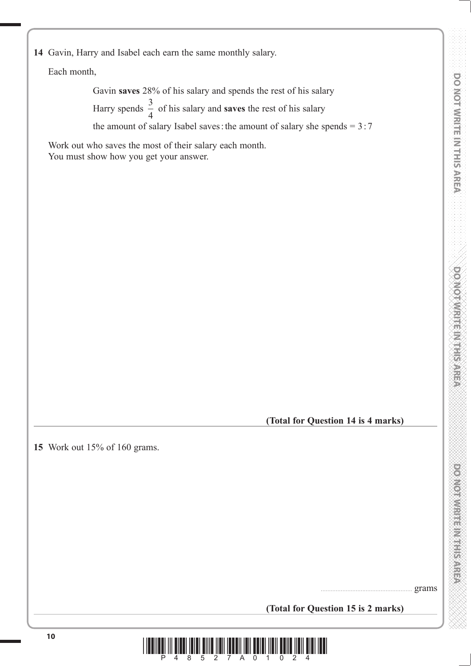**DOOMOTIVIER MEERS AREA** 

Each month,

Gavin **saves** 28% of his salary and spends the rest of his salary Harry spends  $\frac{3}{4}$  of his salary and **saves** the rest of his salary the amount of salary Isabel saves: the amount of salary she spends =  $3:7$ 

 Work out who saves the most of their salary each month. You must show how you get your answer.

**(Total for Question 14 is 4 marks)**

**15** Work out 15% of 160 grams.

... grams

**(Total for Question 15 is 2 marks)**

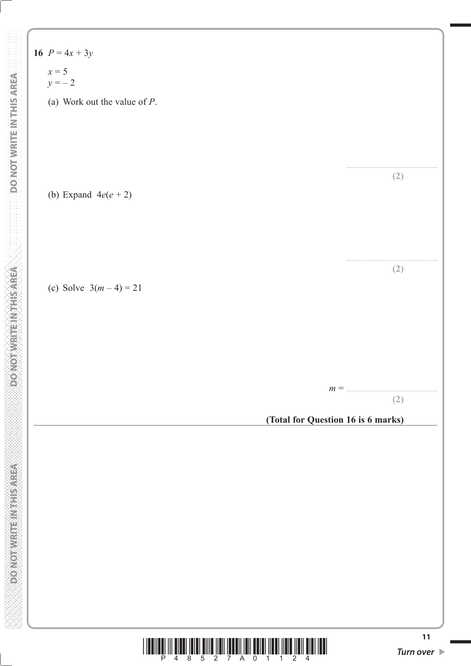|                                  | 16 $P = 4x + 3y$                                                                                                                                                                                                                                                                                                                                                                                                                                              |                                 |
|----------------------------------|---------------------------------------------------------------------------------------------------------------------------------------------------------------------------------------------------------------------------------------------------------------------------------------------------------------------------------------------------------------------------------------------------------------------------------------------------------------|---------------------------------|
|                                  | $x = 5$<br>$y = -2$                                                                                                                                                                                                                                                                                                                                                                                                                                           |                                 |
|                                  | (a) Work out the value of $P$ .                                                                                                                                                                                                                                                                                                                                                                                                                               |                                 |
|                                  |                                                                                                                                                                                                                                                                                                                                                                                                                                                               |                                 |
| DO NOT WRITEIN THIS AREA         |                                                                                                                                                                                                                                                                                                                                                                                                                                                               |                                 |
|                                  |                                                                                                                                                                                                                                                                                                                                                                                                                                                               | (2)                             |
|                                  | (b) Expand $4e(e + 2)$                                                                                                                                                                                                                                                                                                                                                                                                                                        |                                 |
|                                  |                                                                                                                                                                                                                                                                                                                                                                                                                                                               |                                 |
|                                  |                                                                                                                                                                                                                                                                                                                                                                                                                                                               |                                 |
|                                  |                                                                                                                                                                                                                                                                                                                                                                                                                                                               | (2)                             |
|                                  | (c) Solve $3(m-4) = 21$                                                                                                                                                                                                                                                                                                                                                                                                                                       |                                 |
|                                  |                                                                                                                                                                                                                                                                                                                                                                                                                                                               |                                 |
| ASKASING ALEXANDROVICIA          |                                                                                                                                                                                                                                                                                                                                                                                                                                                               |                                 |
|                                  |                                                                                                                                                                                                                                                                                                                                                                                                                                                               | $m =$                           |
|                                  |                                                                                                                                                                                                                                                                                                                                                                                                                                                               | (2)                             |
|                                  | (Total for Question 16 is 6 marks)                                                                                                                                                                                                                                                                                                                                                                                                                            |                                 |
|                                  |                                                                                                                                                                                                                                                                                                                                                                                                                                                               |                                 |
|                                  |                                                                                                                                                                                                                                                                                                                                                                                                                                                               |                                 |
|                                  |                                                                                                                                                                                                                                                                                                                                                                                                                                                               |                                 |
|                                  |                                                                                                                                                                                                                                                                                                                                                                                                                                                               |                                 |
| <b>PROTECTIVE STRAIGHTS AREA</b> |                                                                                                                                                                                                                                                                                                                                                                                                                                                               |                                 |
|                                  |                                                                                                                                                                                                                                                                                                                                                                                                                                                               |                                 |
|                                  |                                                                                                                                                                                                                                                                                                                                                                                                                                                               |                                 |
|                                  | $\begin{array}{c} \text{if} \ \text{if} \ \text{if} \ \text{if} \ \text{if} \ \text{if} \ \text{if} \ \text{if} \ \text{if} \ \text{if} \ \text{if} \ \text{if} \ \text{if} \ \text{if} \ \text{if} \ \text{if} \ \text{if} \ \text{if} \ \text{if} \ \text{if} \ \text{if} \ \text{if} \ \text{if} \ \text{if} \ \text{if} \ \text{if} \ \text{if} \ \text{if} \ \text{if} \ \text{if} \ \text{if} \ \text{if} \ \text{if} \ \text{if} \ \text{if} \ \text{$ | 11                              |
|                                  |                                                                                                                                                                                                                                                                                                                                                                                                                                                               | Turn over $\blacktriangleright$ |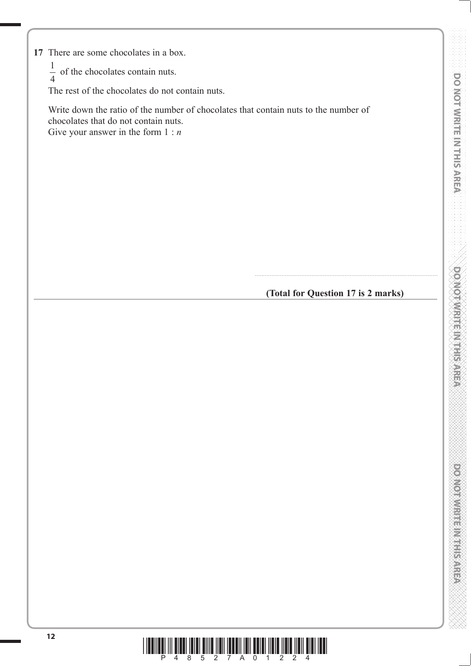DOMOTWRITE MITHSAREA

**17** There are some chocolates in a box.

1 4 of the chocolates contain nuts.

The rest of the chocolates do not contain nuts.

 Write down the ratio of the number of chocolates that contain nuts to the number of chocolates that do not contain nuts. Give your answer in the form  $1:n$ 

**(Total for Question 17 is 2 marks)**

..............................................................................................................

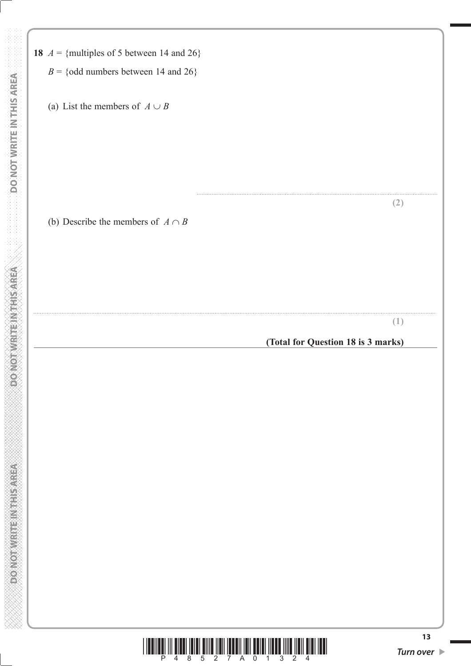| $B = \{odd numbers between 14 and 26\}$ |                                    |
|-----------------------------------------|------------------------------------|
| (a) List the members of $A \cup B$      |                                    |
|                                         |                                    |
|                                         |                                    |
|                                         |                                    |
|                                         | (2)                                |
| (b) Describe the members of $A \cap B$  |                                    |
|                                         |                                    |
|                                         |                                    |
|                                         |                                    |
|                                         | (1)                                |
|                                         | (Total for Question 18 is 3 marks) |
|                                         |                                    |
|                                         |                                    |
|                                         |                                    |
|                                         |                                    |
|                                         |                                    |
|                                         |                                    |
|                                         |                                    |
|                                         |                                    |
|                                         |                                    |
|                                         |                                    |
|                                         |                                    |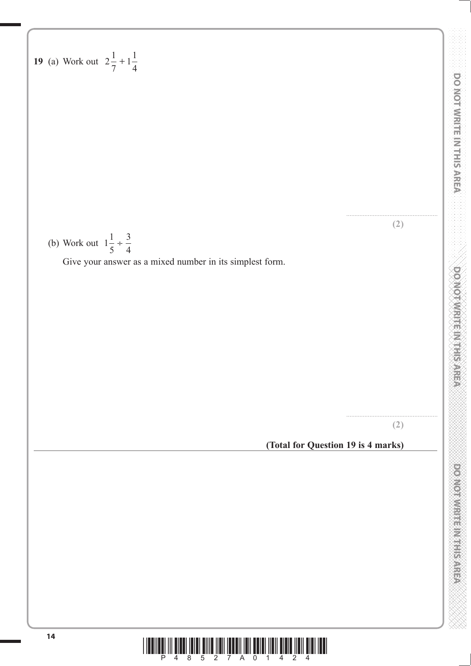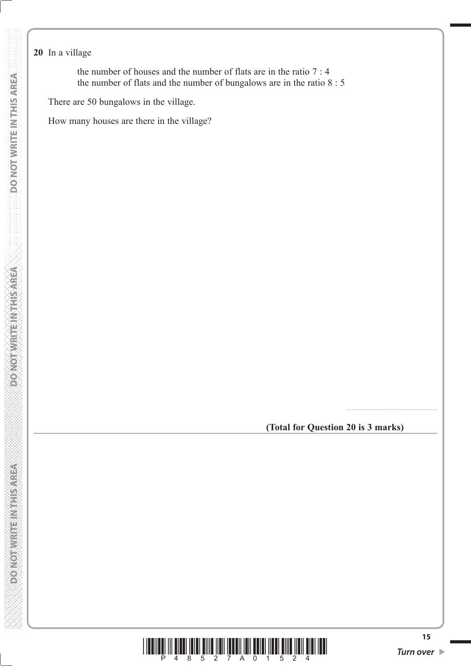## **20** In a village

the number of houses and the number of flats are in the ratio  $7:4$ the number of flats and the number of bungalows are in the ratio  $8:5$ 

There are 50 bungalows in the village.

How many houses are there in the village?

**(Total for Question 20 is 3 marks)**

.......................................................



**CONCERT REGISTRATIONS**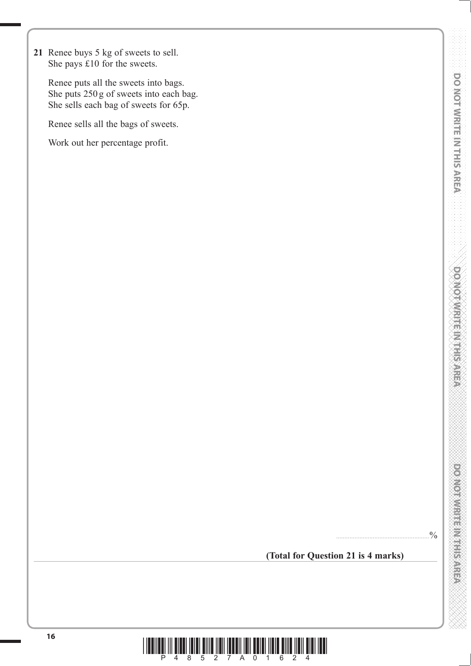**21** Renee buys 5 kg of sweets to sell. She pays  $£10$  for the sweets.

 Renee puts all the sweets into bags. She puts  $250g$  of sweets into each bag. She sells each bag of sweets for 65p.

Renee sells all the bags of sweets.

Work out her percentage profit.

**(Total for Question 21 is 4 marks)**

........................................................

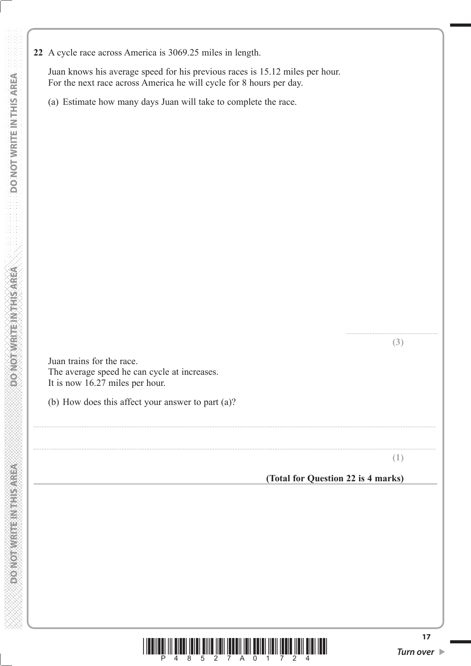22 A cycle race across America is 3069.25 miles in length.

Juan knows his average speed for his previous races is 15.12 miles per hour. For the next race across America he will cycle for 8 hours per day.

(a) Estimate how many days Juan will take to complete the race.

 Juan trains for the race. The average speed he can cycle at increases. It is now  $16.27$  miles per hour.

(b) How does this affect your answer to part (a)?

**(1)**

....................................................... **(3)**

#### **(Total for Question 22 is 4 marks)**



..................................................................................................................................................................................................................................................

..................................................................................................................................................................................................................................................

**MONOTHUR REGISTER**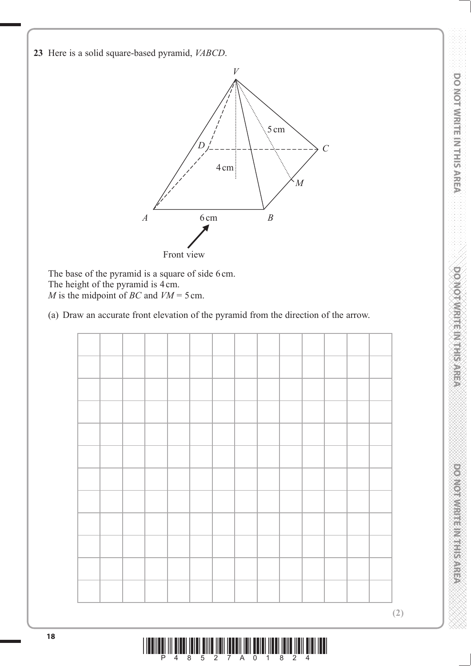**DO NOT WRITE IN THIS AREA DO NOT WRITE IN THIS AREA DO NOT WRITE IN THIS AREA DO NOT WRITE IN THIS AREA DO NOT WRITE IN THIS AREA DO NOT WRITE IN THIS AREA DO NOT WRITE IN THIS AREA DO NOT WRITE IN THIS AREA DO NOT WRITE DO NOT WRITE IN THIS AREA** 

**DOMOTAMENT NATIONAL** 

**DOWNAMERIAL MELTING** 

**(2)**





The base of the pyramid is a square of side 6 cm. The height of the pyramid is 4 cm. *M* is the midpoint of *BC* and  $VM = 5$  cm.

(a) Draw an accurate front elevation of the pyramid from the direction of the arrow.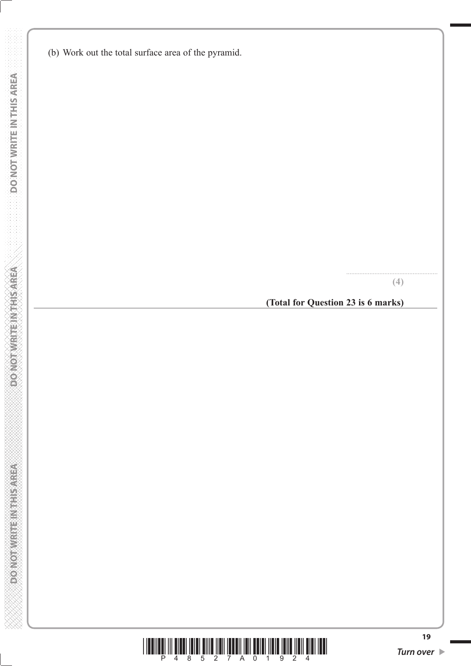(b) Work out the total surface area of the pyramid.

**(4)**

.......................................................

**(Total for Question 23 is 6 marks)**

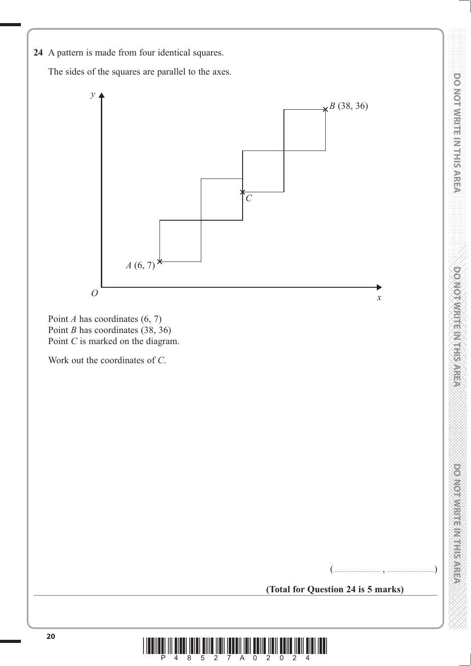**24** A pattern is made from four identical squares.

The sides of the squares are parallel to the axes.



Point *A* has coordinates  $(6, 7)$ Point *B* has coordinates  $(38, 36)$ Point *C* is marked on the diagram.

Work out the coordinates of *C*.

**(Total for Question 24 is 5 marks)**

(................................ , ................................)

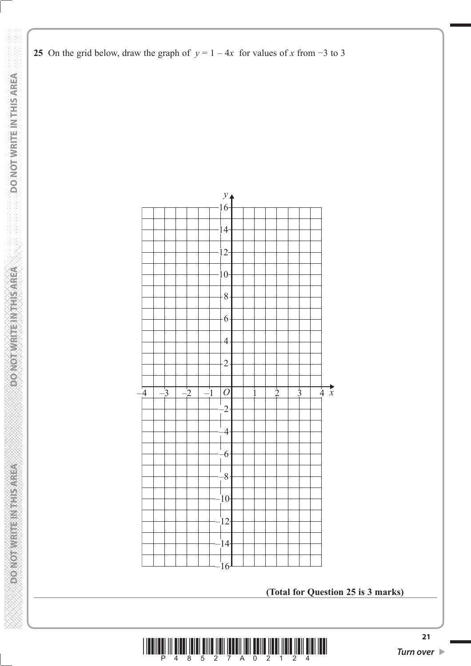**DOMOTIVRITE NITHSAREA** 



**25** On the grid below, draw the graph of  $y = 1 - 4x$  for values of *x* from -3 to 3

**(Total for Question 25 is 3 marks)**

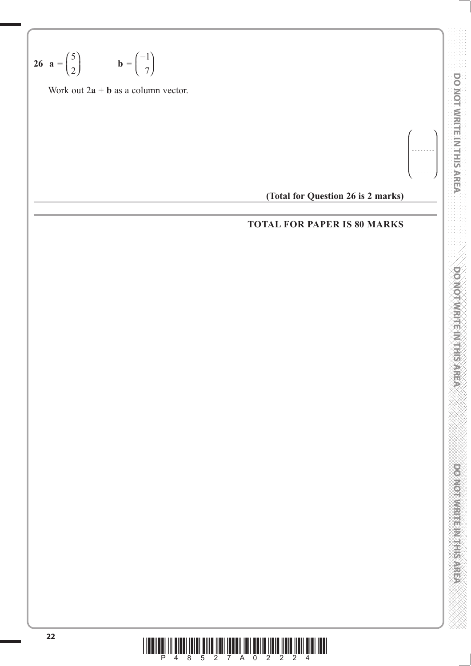$$
26 \quad \mathbf{a} = \begin{pmatrix} 5 \\ 2 \end{pmatrix} \qquad \qquad \mathbf{b} = \begin{pmatrix} -1 \\ 7 \end{pmatrix}
$$

Work out  $2a + b$  as a column vector.

**(Total for Question 26 is 2 marks)**

## **TOTAL FOR PAPER IS 80 MARKS**



- - - - - - - -

DO NOT WRITE IN THIS AREA

- - - - - - - -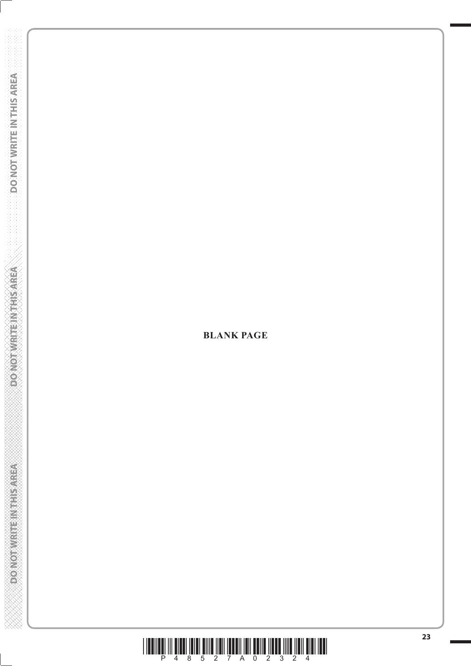

**BLANK PAGE**